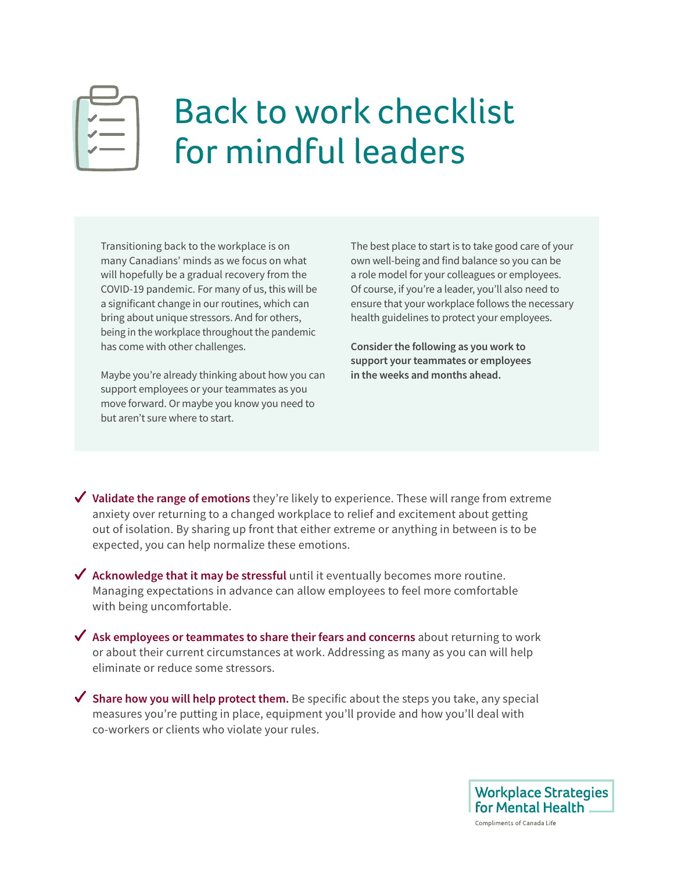

## Back to work checklist for mindful leaders

Transitioning back to the workplace is on many Canadians' minds as we focus on what will hopefully be a gradual recovery from the COVID-19 pandemic. For many of us, this will be a significant change in our routines, which can bring about unique stressors. And for others, being in the workplace throughout the pandemic has come with other challenges.

Maybe you're already thinking about how you can support employees or your teammates as you move forward. Or maybe you know you need to but aren't sure where to start.

The best place to start is to take good care of your own well-being and find balance so you can be a role model for your colleagues or employees. Of course, if you're a leader, you'll also need to ensure that your workplace follows the necessary health guidelines to protect your employees.

**Consider the following as you work to support your teammates or employees in the weeks and months ahead.** 

**√ Validate the range of emotions** they're likely to experience. These will range from extreme anxiety over returning to a changed workplace to relief and excitement about getting out of isolation. By sharing up front that either extreme or anything in between is to be expected, you can help normalize these emotions.

**Acknowledge that it may be stressful** until it eventually becomes more routine. Managing expectations in advance can allow employees to feel more comfortable with being uncomfortable.

**Ask employees or teammates to share their fears and concerns** about returning to work or about their current circumstances at work. Addressing as many as you can will help eliminate or reduce some stressors.

**Share how you will help protect them.** Be specific about the steps you take, any special measures you're putting in place, equipment you'll provide and how you'll deal with co-workers or clients who violate your rules.